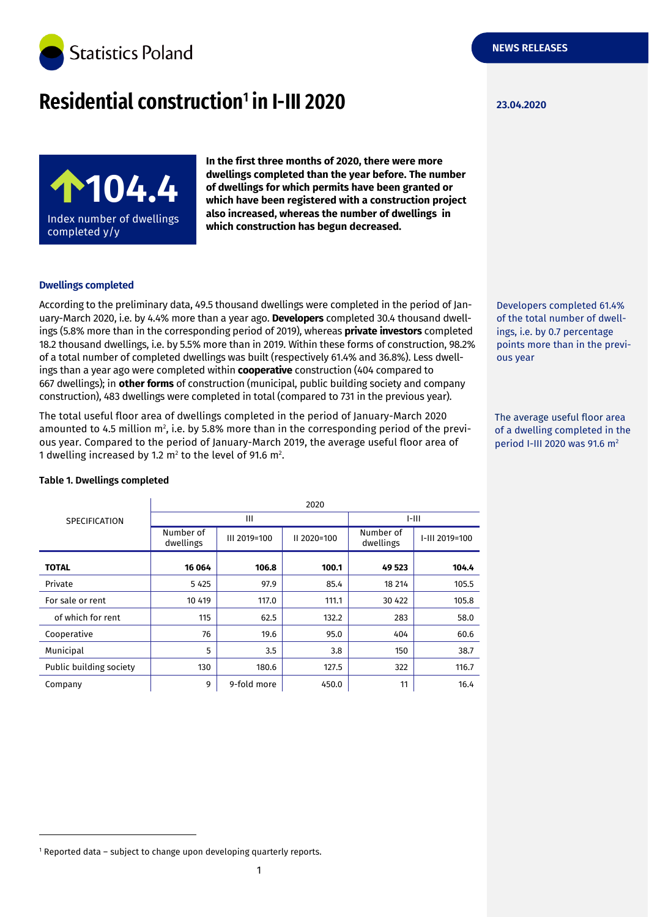

# **Residential construction<sup>1</sup> in I-III 2020 123.04.2020**



**In the first three months of 2020, there were more dwellings completed than the year before. The number of dwellings for which permits have been granted or which have been registered with a construction project also increased, whereas the number of dwellings in which construction has begun decreased.**

## **Dwellings completed**

According to the preliminary data, 49.5 thousand dwellings were completed in the period of January-March 2020, i.e. by 4.4% more than a year ago. **Developers** completed 30.4 thousand dwellings (5.8% more than in the corresponding period of 2019), whereas **private investors** completed 18.2 thousand dwellings, i.e. by 5.5% more than in 2019. Within these forms of construction, 98.2% of a total number of completed dwellings was built (respectively 61.4% and 36.8%). Less dwellings than a year ago were completed within **cooperative** construction (404 compared to 667 dwellings); in **other forms** of construction (municipal, public building society and company construction), 483 dwellings were completed in total (compared to 731 in the previous year).

The total useful floor area of dwellings completed in the period of January-March 2020 amounted to 4.5 million  $m<sup>2</sup>$ , i.e. by 5.8% more than in the corresponding period of the previous year. Compared to the period of January-March 2019, the average useful floor area of 1 dwelling increased by 1.2  $m^2$  to the level of 91.6  $m^2$ .

ings, i.e. by 0.7 percentage points more than in the previous year

Developers completed 61.4% of the total number of dwell-

The average useful floor area of a dwelling completed in the period I-III 2020 was 91.6 m<sup>2</sup>

| <b>SPECIFICATION</b>    | 2020                   |              |               |                        |                |  |
|-------------------------|------------------------|--------------|---------------|------------------------|----------------|--|
|                         | Ш                      |              |               | $I-III$                |                |  |
|                         | Number of<br>dwellings | III 2019=100 | $II$ 2020=100 | Number of<br>dwellings | I-III 2019=100 |  |
| <b>TOTAL</b>            | 16 064                 | 106.8        | 100.1         | 49 523                 | 104.4          |  |
| Private                 | 5 4 2 5                | 97.9         | 85.4          | 18 214                 | 105.5          |  |
| For sale or rent        | 10 419                 | 117.0        | 111.1         | 30 422                 | 105.8          |  |
| of which for rent       | 115                    | 62.5         | 132.2         | 283                    | 58.0           |  |
| Cooperative             | 76                     | 19.6         | 95.0          | 404                    | 60.6           |  |
| Municipal               | 5                      | 3.5          | 3.8           | 150                    | 38.7           |  |
| Public building society | 130                    | 180.6        | 127.5         | 322                    | 116.7          |  |
| Company                 | 9                      | 9-fold more  | 450.0         | 11                     | 16.4           |  |

### **Table 1. Dwellings completed**

-

<sup>&</sup>lt;sup>1</sup> Reported data - subject to change upon developing quarterly reports.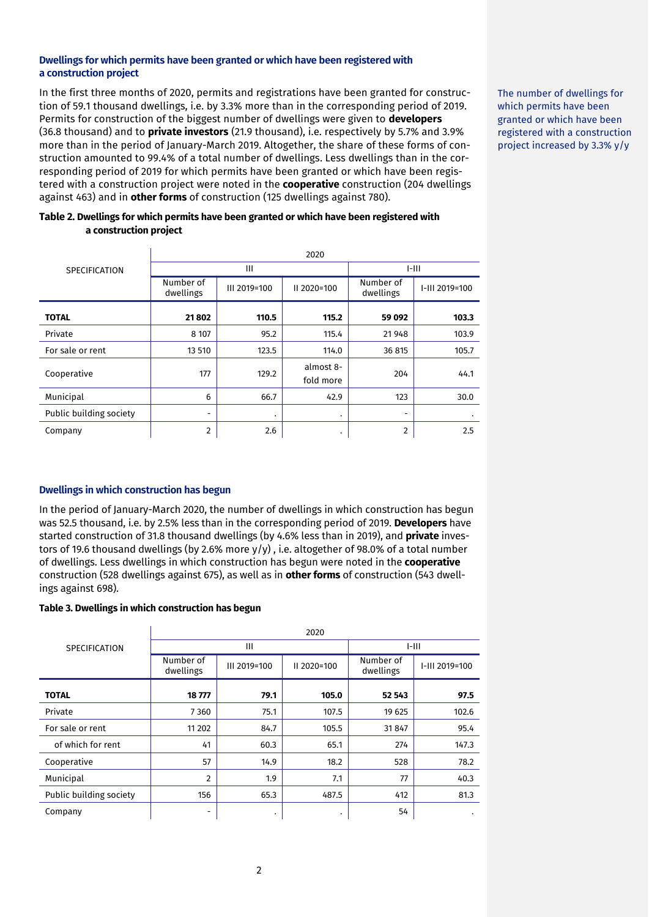### **Dwellings for which permits have been granted or which have been registered with a construction project**

In the first three months of 2020, permits and registrations have been granted for construction of 59.1 thousand dwellings, i.e. by 3.3% more than in the corresponding period of 2019. Permits for construction of the biggest number of dwellings were given to **developers**  (36.8 thousand) and to **private investors** (21.9 thousand), i.e. respectively by 5.7% and 3.9% more than in the period of January-March 2019. Altogether, the share of these forms of construction amounted to 99.4% of a total number of dwellings. Less dwellings than in the corresponding period of 2019 for which permits have been granted or which have been registered with a construction project were noted in the **cooperative** construction (204 dwellings against 463) and in **other forms** of construction (125 dwellings against 780).

| Table 2. Dwellings for which permits have been granted or which have been registered with |  |
|-------------------------------------------------------------------------------------------|--|
| a construction project                                                                    |  |

|                         | 2020                   |              |                        |                        |                |  |
|-------------------------|------------------------|--------------|------------------------|------------------------|----------------|--|
| <b>SPECIFICATION</b>    | $\mathbf{III}$         |              |                        | $I-III$                |                |  |
|                         | Number of<br>dwellings | III 2019=100 | II 2020=100            | Number of<br>dwellings | I-III 2019=100 |  |
| <b>TOTAL</b>            | 21802                  | 110.5        | 115.2                  | 59 092                 | 103.3          |  |
| Private                 | 8 1 0 7                | 95.2         | 115.4                  | 21948                  | 103.9          |  |
| For sale or rent        | 13 510                 | 123.5        | 114.0                  | 36 815                 | 105.7          |  |
| Cooperative             | 177                    | 129.2        | almost 8-<br>fold more | 204                    | 44.1           |  |
| Municipal               | 6                      | 66.7         | 42.9                   | 123                    | 30.0           |  |
| Public building society | ۰                      | ٠            | ٠                      | -                      | ٠              |  |
| Company                 | $\overline{2}$         | 2.6          | ٠                      | 2                      | 2.5            |  |

# **Dwellings in which construction has begun**

In the period of January-March 2020, the number of dwellings in which construction has begun was 52.5 thousand, i.e. by 2.5% less than in the corresponding period of 2019. **Developers** have started construction of 31.8 thousand dwellings (by 4.6% less than in 2019), and **private** investors of 19.6 thousand dwellings (by 2.6% more y/y) , i.e. altogether of 98.0% of a total number of dwellings. Less dwellings in which construction has begun were noted in the **cooperative**  construction (528 dwellings against 675), as well as in **other forms** of construction (543 dwellings against 698).

#### **Table 3. Dwellings in which construction has begun**

|                         | 2020                   |              |             |                        |                |  |
|-------------------------|------------------------|--------------|-------------|------------------------|----------------|--|
| <b>SPECIFICATION</b>    | Ш                      |              |             | $I-III$                |                |  |
|                         | Number of<br>dwellings | III 2019=100 | II 2020=100 | Number of<br>dwellings | I-III 2019=100 |  |
| <b>TOTAL</b>            | 18777                  | 79.1         | 105.0       | 52 543                 | 97.5           |  |
| Private                 | 7360                   | 75.1         | 107.5       | 19 625                 | 102.6          |  |
| For sale or rent        | 11 202                 | 84.7         | 105.5       | 31 847                 | 95.4           |  |
| of which for rent       | 41                     | 60.3         | 65.1        | 274                    | 147.3          |  |
| Cooperative             | 57                     | 14.9         | 18.2        | 528                    | 78.2           |  |
| Municipal               | $\overline{2}$         | 1.9          | 7.1         | 77                     | 40.3           |  |
| Public building society | 156                    | 65.3         | 487.5       | 412                    | 81.3           |  |
| Company                 | ۰                      | ٠            | ٠           | 54                     | ٠              |  |

The number of dwellings for which permits have been granted or which have been registered with a construction project increased by 3.3% y/y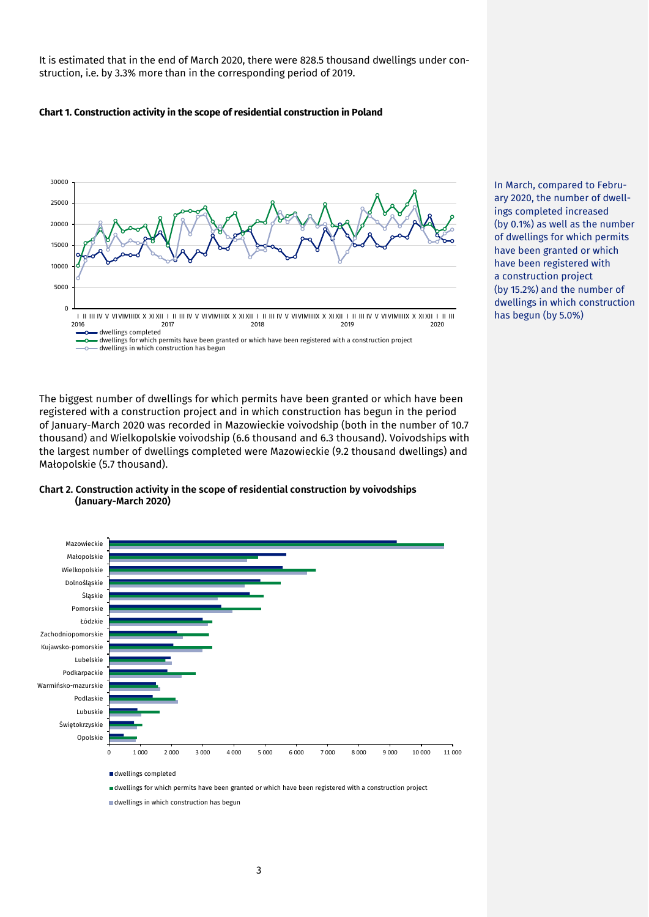It is estimated that in the end of March 2020, there were 828.5 thousand dwellings under construction, i.e. by 3.3% more than in the corresponding period of 2019.

#### **Chart 1. Construction activity in the scope of residential construction in Poland**



The biggest number of dwellings for which permits have been granted or which have been registered with a construction project and in which construction has begun in the period of January-March 2020 was recorded in Mazowieckie voivodship (both in the number of 10.7 thousand) and Wielkopolskie voivodship (6.6 thousand and 6.3 thousand). Voivodships with the largest number of dwellings completed were Mazowieckie (9.2 thousand dwellings) and Małopolskie (5.7 thousand).





dwellings for which permits have been granted or which have been registered with a construction project

dwellings in which construction has begun

In March, compared to February 2020, the number of dwellings completed increased (by 0.1%) as well as the number of dwellings for which permits have been granted or which have been registered with a construction project (by 15.2%) and the number of dwellings in which construction has begun (by 5.0%)